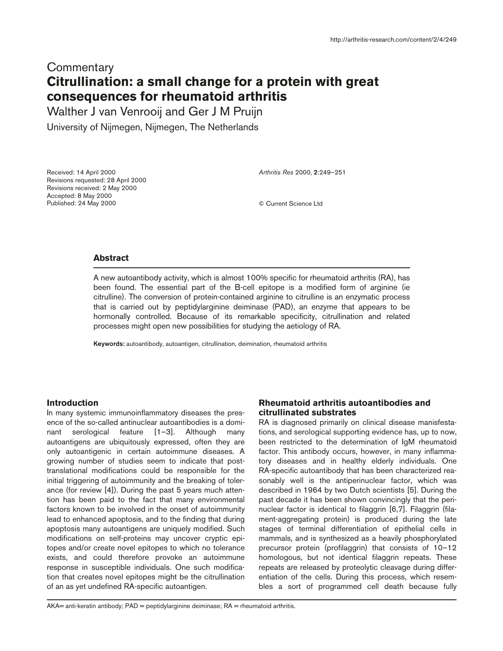# **Commentary Citrullination: a small change for a protein with great consequences for rheumatoid arthritis**

Walther J van Venrooij and Ger J M Pruijn

University of Nijmegen, Nijmegen, The Netherlands

Received: 14 April 2000 Revisions requested: 28 April 2000 Revisions received: 2 May 2000 Accepted: 8 May 2000 Published: 24 May 2000

*Arthritis Res* 2000, **2**:249–251

© Current Science Ltd

## **Abstract**

A new autoantibody activity, which is almost 100% specific for rheumatoid arthritis (RA), has been found. The essential part of the B-cell epitope is a modified form of arginine (ie citrulline). The conversion of protein-contained arginine to citrulline is an enzymatic process that is carried out by peptidylarginine deiminase (PAD), an enzyme that appears to be hormonally controlled. Because of its remarkable specificity, citrullination and related processes might open new possibilities for studying the aetiology of RA.

**Keywords:** autoantibody, autoantigen, citrullination, deimination, rheumatoid arthritis

#### **Introduction**

In many systemic immunoinflammatory diseases the presence of the so-called antinuclear autoantibodies is a dominant serological feature [1–3]. Although many autoantigens are ubiquitously expressed, often they are only autoantigenic in certain autoimmune diseases. A growing number of studies seem to indicate that posttranslational modifications could be responsible for the initial triggering of autoimmunity and the breaking of tolerance (for review [4]). During the past 5 years much attention has been paid to the fact that many environmental factors known to be involved in the onset of autoimmunity lead to enhanced apoptosis, and to the finding that during apoptosis many autoantigens are uniquely modified. Such modifications on self-proteins may uncover cryptic epitopes and/or create novel epitopes to which no tolerance exists, and could therefore provoke an autoimmune response in susceptible individuals. One such modification that creates novel epitopes might be the citrullination of an as yet undefined RA-specific autoantigen.

# **Rheumatoid arthritis autoantibodies and citrullinated substrates**

RA is diagnosed primarily on clinical disease manisfestations, and serological supporting evidence has, up to now, been restricted to the determination of IgM rheumatoid factor. This antibody occurs, however, in many inflammatory diseases and in healthy elderly individuals. One RA-specific autoantibody that has been characterized reasonably well is the antiperinuclear factor, which was described in 1964 by two Dutch scientists [5]. During the past decade it has been shown convincingly that the perinuclear factor is identical to filaggrin [6,7]. Filaggrin (filament-aggregating protein) is produced during the late stages of terminal differentiation of epithelial cells in mammals, and is synthesized as a heavily phosphorylated precursor protein (profilaggrin) that consists of 10–12 homologous, but not identical filaggrin repeats. These repeats are released by proteolytic cleavage during differentiation of the cells. During this process, which resembles a sort of programmed cell death because fully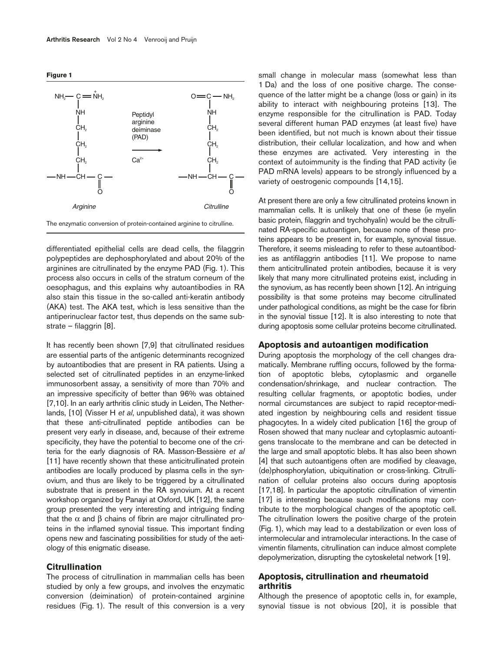



differentiated epithelial cells are dead cells, the filaggrin polypeptides are dephosphorylated and about 20% of the arginines are citrullinated by the enzyme PAD (Fig. 1). This process also occurs in cells of the stratum corneum of the oesophagus, and this explains why autoantibodies in RA also stain this tissue in the so-called anti-keratin antibody (AKA) test. The AKA test, which is less sensitive than the antiperinuclear factor test, thus depends on the same substrate – filaggrin [8].

It has recently been shown [7,9] that citrullinated residues are essential parts of the antigenic determinants recognized by autoantibodies that are present in RA patients. Using a selected set of citrullinated peptides in an enzyme-linked immunosorbent assay, a sensitivity of more than 70% and an impressive specificity of better than 96% was obtained [7,10]. In an early arthritis clinic study in Leiden, The Netherlands, [10] (Visser H *et al*, unpublished data), it was shown that these anti-citrullinated peptide antibodies can be present very early in disease, and, because of their extreme specificity, they have the potential to become one of the criteria for the early diagnosis of RA. Masson-Bessière *et al* [11] have recently shown that these anticitrullinated protein antibodies are locally produced by plasma cells in the synovium, and thus are likely to be triggered by a citrullinated substrate that is present in the RA synovium. At a recent workshop organized by Panayi at Oxford, UK [12], the same group presented the very interesting and intriguing finding that the  $\alpha$  and  $\beta$  chains of fibrin are major citrullinated proteins in the inflamed synovial tissue. This important finding opens new and fascinating possibilities for study of the aetiology of this enigmatic disease.

#### **Citrullination**

The process of citrullination in mammalian cells has been studied by only a few groups, and involves the enzymatic conversion (deimination) of protein-contained arginine residues (Fig. 1). The result of this conversion is a very

small change in molecular mass (somewhat less than 1 Da) and the loss of one positive charge. The consequence of the latter might be a change (loss or gain) in its ability to interact with neighbouring proteins [13]. The enzyme responsible for the citrullination is PAD. Today several different human PAD enzymes (at least five) have been identified, but not much is known about their tissue distribution, their cellular localization, and how and when these enzymes are activated. Very interesting in the context of autoimmunity is the finding that PAD activity (ie PAD mRNA levels) appears to be strongly influenced by a variety of oestrogenic compounds [14,15].

At present there are only a few citrullinated proteins known in mammalian cells. It is unlikely that one of these (ie myelin basic protein, filaggrin and trychohyalin) would be the citrullinated RA-specific autoantigen, because none of these proteins appears to be present in, for example, synovial tissue. Therefore, it seems misleading to refer to these autoantibodies as antifilaggrin antibodies [11]. We propose to name them anticitrullinated protein antibodies, because it is very likely that many more citrullinated proteins exist, including in the synovium, as has recently been shown [12]. An intriguing possibility is that some proteins may become citrullinated under pathological conditions, as might be the case for fibrin in the synovial tissue [12]. It is also interesting to note that during apoptosis some cellular proteins become citrullinated.

#### **Apoptosis and autoantigen modification**

During apoptosis the morphology of the cell changes dramatically. Membrane ruffling occurs, followed by the formation of apoptotic blebs, cytoplasmic and organelle condensation/shrinkage, and nuclear contraction. The resulting cellular fragments, or apoptotic bodies, under normal circumstances are subject to rapid receptor-mediated ingestion by neighbouring cells and resident tissue phagocytes. In a widely cited publication [16] the group of Rosen showed that many nuclear and cytoplasmic autoantigens translocate to the membrane and can be detected in the large and small apoptotic blebs. It has also been shown [4] that such autoantigens often are modified by cleavage, (de)phosphorylation, ubiquitination or cross-linking. Citrullination of cellular proteins also occurs during apoptosis [17,18]. In particular the apoptotic citrullination of vimentin [17] is interesting because such modifications may contribute to the morphological changes of the apoptotic cell. The citrullination lowers the positive charge of the protein (Fig. 1), which may lead to a destabilization or even loss of intermolecular and intramolecular interactions. In the case of vimentin filaments, citrullination can induce almost complete depolymerization, disrupting the cytoskeletal network [19].

# **Apoptosis, citrullination and rheumatoid arthritis**

Although the presence of apoptotic cells in, for example, synovial tissue is not obvious [20], it is possible that